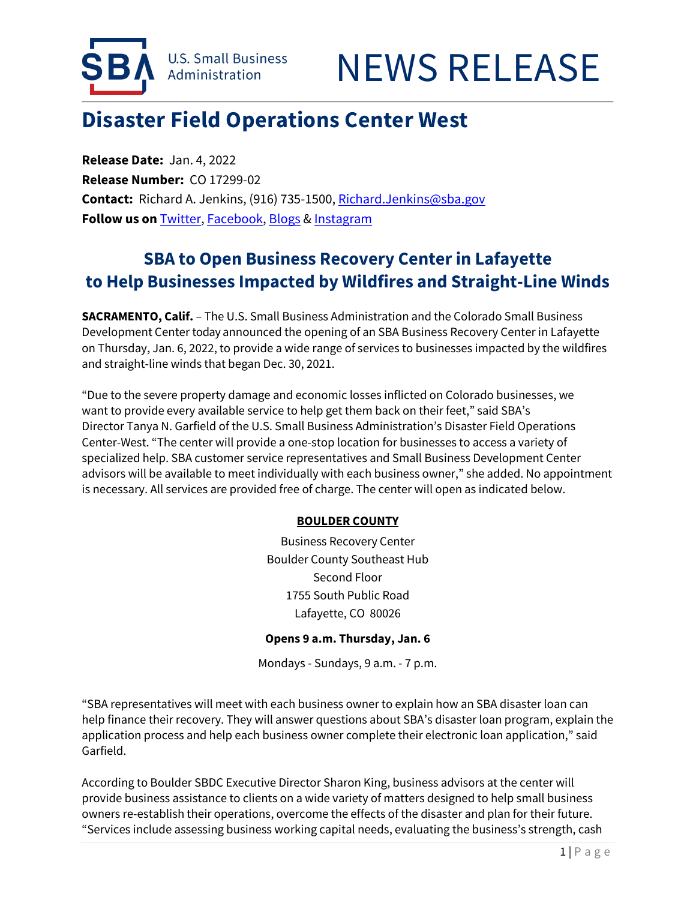



# **Disaster Field Operations Center West**

**Release Date:** Jan. 4, 2022 **Release Number:** CO 17299-02 **Contact:** Richard A. Jenkins, (916) 735-1500[, Richard.Jenkins@sba.gov](mailto:Richard.Jenkins@sba.gov) **Follow us on** [Twitter,](http://www.twitter.com/SBAgov) [Facebook,](http://www.facebook.com/sbagov) [Blogs](http://www.sba.gov/blogs) [& Instagram](https://www.instagram.com/sbagov/)

## **SBA to Open Business Recovery Center in Lafayette to Help Businesses Impacted by Wildfires and Straight-Line Winds**

**SACRAMENTO, Calif.** – The U.S. Small Business Administration and the Colorado Small Business Development Center today announced the opening of an SBA Business Recovery Center in Lafayette on Thursday, Jan. 6, 2022, to provide a wide range of services to businesses impacted by the wildfires and straight-line winds that began Dec. 30, 2021.

"Due to the severe property damage and economic losses inflicted on Colorado businesses, we want to provide every available service to help get them back on their feet," said SBA's Director Tanya N. Garfield of the U.S. Small Business Administration's Disaster Field Operations Center-West. "The center will provide a one-stop location for businesses to access a variety of specialized help. SBA customer service representatives and Small Business Development Center advisors will be available to meet individually with each business owner," she added. No appointment is necessary. All services are provided free of charge. The center will open as indicated below.

#### **BOULDER COUNTY**

Business Recovery Center Boulder County Southeast Hub Second Floor 1755 South Public Road Lafayette, CO 80026

#### **Opens 9 a.m. Thursday, Jan. 6**

Mondays - Sundays, 9 a.m. - 7 p.m.

"SBA representatives will meet with each business owner to explain how an SBA disaster loan can help finance their recovery. They will answer questions about SBA's disaster loan program, explain the application process and help each business owner complete their electronic loan application," said Garfield.

According to Boulder SBDC Executive Director Sharon King, business advisors at the center will provide business assistance to clients on a wide variety of matters designed to help small business owners re-establish their operations, overcome the effects of the disaster and plan for their future. "Services include assessing business working capital needs, evaluating the business's strength, cash